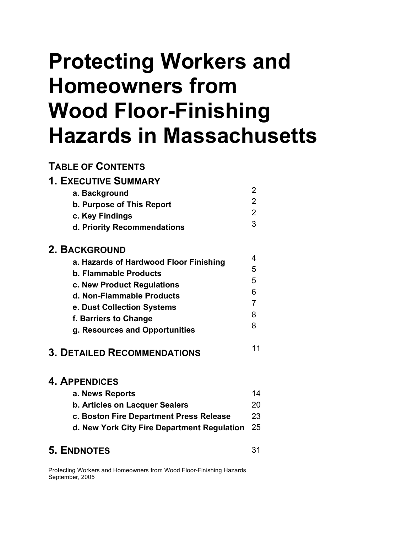# **Protecting Workers and Homeowners from Wood Floor-Finishing Hazards in Massachusetts**

## **TABLE OF CONTENTS**

| <b>1. EXECUTIVE SUMMARY</b>            |                |
|----------------------------------------|----------------|
| a. Background                          | 2              |
| b. Purpose of This Report              | 2              |
| c. Key Findings                        | $\overline{2}$ |
| d. Priority Recommendations            | 3              |
| 2. BACKGROUND                          |                |
| a. Hazards of Hardwood Floor Finishing | 4              |
| b. Flammable Products                  | 5              |
| c. New Product Regulations             | 5              |
| d. Non-Flammable Products              | 6              |
| e. Dust Collection Systems             | 7              |
| f. Barriers to Change                  | 8              |
| g. Resources and Opportunities         | 8              |
| <b>3. DETAILED RECOMMENDATIONS</b>     |                |

## **4. APPENDICES**

| a. News Reports                         | 14 |
|-----------------------------------------|----|
| b. Articles on Lacquer Sealers          | 20 |
| c. Boston Fire Department Press Release | 23 |

**d. New York City Fire Department Regulation** 25

# **5. ENDNOTES**

31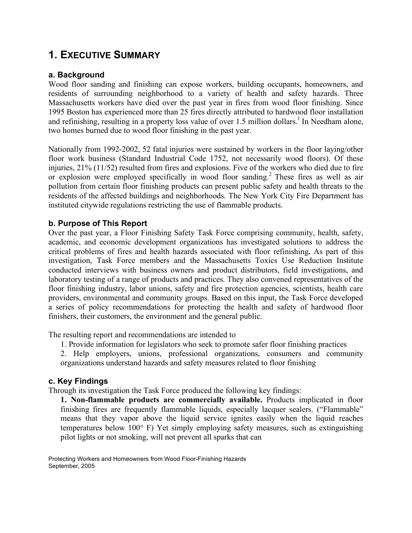# **1. EXECUTIVE SUMMARY**

#### **a. Background**

Wood floor sanding and finishing can expose workers, building occupants, homeowners, and residents of surrounding neighborhood to a variety of health and safety hazards. Three Massachusetts workers have died over the past year in fires from wood floor finishing. Since 1995 Boston has experienced more than 25 fires directly attributed to hardwood floor installation and refinishing, resulting in a property loss value of over 1.5 million dollars.<sup>1</sup> In Needham alone, two homes burned due to wood floor finishing in the past year.

Nationally from 1992-2002, 52 fatal injuries were sustained by workers in the floor laying/other floor work business (Standard Industrial Code 1752, not necessarily wood floors). Of these injuries, 21% (11/52) resulted from fires and explosions. Five of the workers who died due to fire or explosion were employed specifically in wood floor sanding.<sup>2</sup> These fires as well as air pollution from certain floor finishing products can present public safety and health threats to the residents of the affected buildings and neighborhoods. The New York City Fire Department has instituted citywide regulations restricting the use of flammable products.

#### **b. Purpose of This Report**

Over the past year, a Floor Finishing Safety Task Force comprising community, health, safety, academic, and economic development organizations has investigated solutions to address the critical problems of fires and health hazards associated with floor refinishing**.** As part of this investigation, Task Force members and the Massachusetts Toxics Use Reduction Institute conducted interviews with business owners and product distributors, field investigations, and laboratory testing of a range of products and practices. They also convened representatives of the floor finishing industry, labor unions, safety and fire protection agencies, scientists, health care providers, environmental and community groups. Based on this input, the Task Force developed a series of policy recommendations for protecting the health and safety of hardwood floor finishers, their customers, the environment and the general public.

The resulting report and recommendations are intended to

- 1. Provide information for legislators who seek to promote safer floor finishing practices
- 2. Help employers, unions, professional organizations, consumers and community organizations understand hazards and safety measures related to floor finishing

#### **c. Key Findings**

Through its investigation the Task Force produced the following key findings:

**1. Non-flammable products are commercially available.** Products implicated in floor finishing fires are frequently flammable liquids, especially lacquer sealers. ("Flammable" means that they vapor above the liquid service ignites easily when the liquid reaches temperatures below 100° F) Yet simply employing safety measures, such as extinguishing pilot lights or not smoking, will not prevent all sparks that can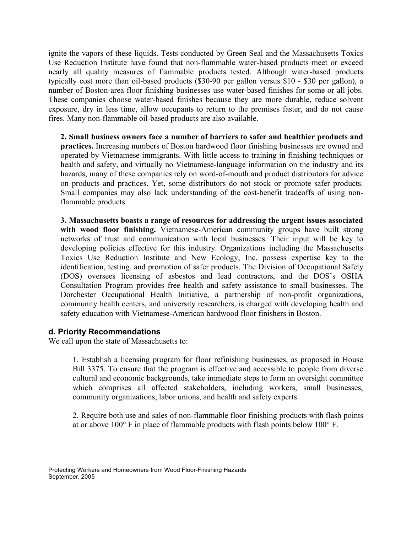ignite the vapors of these liquids. Tests conducted by Green Seal and the Massachusetts Toxics Use Reduction Institute have found that non-flammable water-based products meet or exceed nearly all quality measures of flammable products tested. Although water-based products typically cost more than oil-based products (\$30-90 per gallon versus \$10 - \$30 per gallon), a number of Boston-area floor finishing businesses use water-based finishes for some or all jobs. These companies choose water-based finishes because they are more durable, reduce solvent exposure, dry in less time, allow occupants to return to the premises faster, and do not cause fires. Many non-flammable oil-based products are also available.

**2. Small business owners face a number of barriers to safer and healthier products and practices.** Increasing numbers of Boston hardwood floor finishing businesses are owned and operated by Vietnamese immigrants. With little access to training in finishing techniques or health and safety, and virtually no Vietnamese-language information on the industry and its hazards, many of these companies rely on word-of-mouth and product distributors for advice on products and practices. Yet, some distributors do not stock or promote safer products. Small companies may also lack understanding of the cost-benefit tradeoffs of using nonflammable products.

**3. Massachusetts boasts a range of resources for addressing the urgent issues associated with wood floor finishing.** Vietnamese-American community groups have built strong networks of trust and communication with local businesses. Their input will be key to developing policies effective for this industry. Organizations including the Massachusetts Toxics Use Reduction Institute and New Ecology, Inc. possess expertise key to the identification, testing, and promotion of safer products. The Division of Occupational Safety (DOS) oversees licensing of asbestos and lead contractors, and the DOS's OSHA Consultation Program provides free health and safety assistance to small businesses. The Dorchester Occupational Health Initiative, a partnership of non-profit organizations, community health centers, and university researchers, is charged with developing health and safety education with Vietnamese-American hardwood floor finishers in Boston.

#### **d. Priority Recommendations**

We call upon the state of Massachusetts to:

1. Establish a licensing program for floor refinishing businesses, as proposed in House Bill 3375. To ensure that the program is effective and accessible to people from diverse cultural and economic backgrounds, take immediate steps to form an oversight committee which comprises all affected stakeholders, including workers, small businesses, community organizations, labor unions, and health and safety experts.

2. Require both use and sales of non-flammable floor finishing products with flash points at or above 100° F in place of flammable products with flash points below 100° F.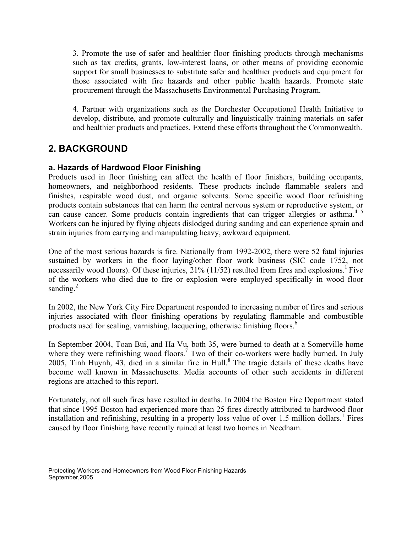3. Promote the use of safer and healthier floor finishing products through mechanisms such as tax credits, grants, low-interest loans, or other means of providing economic support for small businesses to substitute safer and healthier products and equipment for those associated with fire hazards and other public health hazards. Promote state procurement through the Massachusetts Environmental Purchasing Program.

4. Partner with organizations such as the Dorchester Occupational Health Initiative to develop, distribute, and promote culturally and linguistically training materials on safer and healthier products and practices. Extend these efforts throughout the Commonwealth.

# **2. BACKGROUND**

#### **a. Hazards of Hardwood Floor Finishing**

Products used in floor finishing can affect the health of floor finishers, building occupants, homeowners, and neighborhood residents. These products include flammable sealers and finishes, respirable wood dust, and organic solvents. Some specific wood floor refinishing products contain substances that can harm the central nervous system or reproductive system, or can cause cancer. Some products contain ingredients that can trigger allergies or asthma.<sup>45</sup> Workers can be injured by flying objects dislodged during sanding and can experience sprain and strain injuries from carrying and manipulating heavy, awkward equipment.

One of the most serious hazards is fire. Nationally from 1992-2002, there were 52 fatal injuries sustained by workers in the floor laying/other floor work business (SIC code 1752, not necessarily wood floors). Of these injuries,  $21\%$  (11/52) resulted from fires and explosions.<sup>1</sup> Five of the workers who died due to fire or explosion were employed specifically in wood floor sanding. $^{2}$ 

In 2002, the New York City Fire Department responded to increasing number of fires and serious injuries associated with floor finishing operations by regulating flammable and combustible products used for sealing, varnishing, lacquering, otherwise finishing floors. 6

In September 2004, Toan Bui, and Ha Vu, both 35, were burned to death at a Somerville home where they were refinishing wood floors.<sup>7</sup> Two of their co-workers were badly burned. In July 2005, Tinh Huynh, 43, died in a similar fire in Hull. <sup>8</sup> The tragic details of these deaths have become well known in Massachusetts. Media accounts of other such accidents in different regions are attached to this report.

Fortunately, not all such fires have resulted in deaths. In 2004 the Boston Fire Department stated that since 1995 Boston had experienced more than 25 fires directly attributed to hardwood floor installation and refinishing, resulting in a property loss value of over 1.5 million dollars.<sup>1</sup> Fires caused by floor finishing have recently ruined at least two homes in Needham.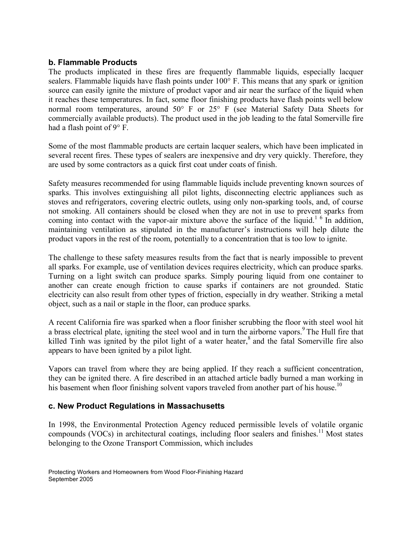#### **b. Flammable Products**

The products implicated in these fires are frequently flammable liquids, especially lacquer sealers. Flammable liquids have flash points under 100° F. This means that any spark or ignition source can easily ignite the mixture of product vapor and air near the surface of the liquid when it reaches these temperatures. In fact, some floor finishing products have flash points well below normal room temperatures, around 50° F or 25° F (see Material Safety Data Sheets for commercially available products). The product used in the job leading to the fatal Somerville fire had a flash point of 9° F.

Some of the most flammable products are certain lacquer sealers, which have been implicated in several recent fires. These types of sealers are inexpensive and dry very quickly. Therefore, they are used by some contractors as a quick first coat under coats of finish.

Safety measures recommended for using flammable liquids include preventing known sources of sparks. This involves extinguishing all pilot lights, disconnecting electric appliances such as stoves and refrigerators, covering electric outlets, using only non-sparking tools, and, of course not smoking. All containers should be closed when they are not in use to prevent sparks from coming into contact with the vapor-air mixture above the surface of the liquid.<sup>16</sup> In addition, maintaining ventilation as stipulated in the manufacturer's instructions will help dilute the product vapors in the rest of the room, potentially to a concentration that is too low to ignite.

The challenge to these safety measures results from the fact that is nearly impossible to prevent all sparks. For example, use of ventilation devices requires electricity, which can produce sparks. Turning on a light switch can produce sparks. Simply pouring liquid from one container to another can create enough friction to cause sparks if containers are not grounded. Static electricity can also result from other types of friction, especially in dry weather. Striking a metal object, such as a nail or staple in the floor, can produce sparks.

A recent California fire was sparked when a floor finisher scrubbing the floor with steel wool hit a brass electrical plate, igniting the steel wool and in turn the airborne vapors.<sup>9</sup> The Hull fire that killed Tinh was ignited by the pilot light of a water heater,<sup>8</sup> and the fatal Somerville fire also appears to have been ignited by a pilot light.

Vapors can travel from where they are being applied. If they reach a sufficient concentration, they can be ignited there. A fire described in an attached article badly burned a man working in his basement when floor finishing solvent vapors traveled from another part of his house.<sup>10</sup>

#### **c. New Product Regulations in Massachusetts**

In 1998, the Environmental Protection Agency reduced permissible levels of volatile organic compounds (VOCs) in architectural coatings, including floor sealers and finishes.<sup>11</sup> Most states belonging to the Ozone Transport Commission, which includes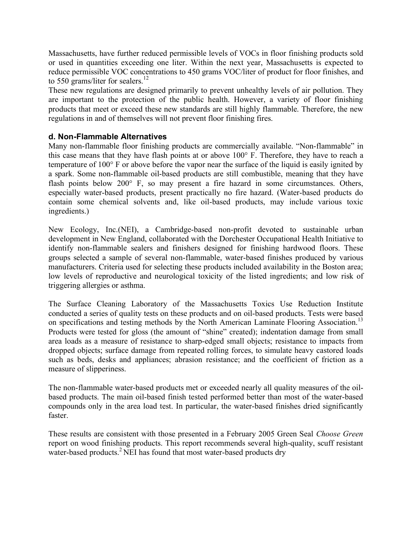Massachusetts, have further reduced permissible levels of VOCs in floor finishing products sold or used in quantities exceeding one liter. Within the next year, Massachusetts is expected to reduce permissible VOC concentrations to 450 grams VOC/liter of product for floor finishes, and to 550 grams/liter for sealers.<sup>12</sup>

These new regulations are designed primarily to prevent unhealthy levels of air pollution. They are important to the protection of the public health. However, a variety of floor finishing products that meet or exceed these new standards are still highly flammable. Therefore, the new regulations in and of themselves will not prevent floor finishing fires.

#### **d. Non-Flammable Alternatives**

Many non-flammable floor finishing products are commercially available. "Non-flammable" in this case means that they have flash points at or above 100° F. Therefore, they have to reach a temperature of 100° F or above before the vapor near the surface of the liquid is easily ignited by a spark. Some non-flammable oil-based products are still combustible, meaning that they have flash points below 200° F, so may present a fire hazard in some circumstances. Others, especially water-based products, present practically no fire hazard. (Water-based products do contain some chemical solvents and, like oil-based products, may include various toxic ingredients.)

New Ecology, Inc.(NEI), a Cambridge-based non-profit devoted to sustainable urban development in New England, collaborated with the Dorchester Occupational Health Initiative to identify non-flammable sealers and finishers designed for finishing hardwood floors. These groups selected a sample of several non-flammable, water-based finishes produced by various manufacturers. Criteria used for selecting these products included availability in the Boston area; low levels of reproductive and neurological toxicity of the listed ingredients; and low risk of triggering allergies or asthma.

The Surface Cleaning Laboratory of the Massachusetts Toxics Use Reduction Institute conducted a series of quality tests on these products and on oil-based products. Tests were based on specifications and testing methods by the North American Laminate Flooring Association.<sup>13</sup> Products were tested for gloss (the amount of "shine" created); indentation damage from small area loads as a measure of resistance to sharp-edged small objects; resistance to impacts from dropped objects; surface damage from repeated rolling forces, to simulate heavy castored loads such as beds, desks and appliances; abrasion resistance; and the coefficient of friction as a measure of slipperiness.

The non-flammable water-based products met or exceeded nearly all quality measures of the oilbased products. The main oil-based finish tested performed better than most of the water-based compounds only in the area load test. In particular, the water-based finishes dried significantly faster.

These results are consistent with those presented in a February 2005 Green Seal *Choose Green* report on wood finishing products. This report recommends several high-quality, scuff resistant water-based products.<sup>2</sup> NEI has found that most water-based products dry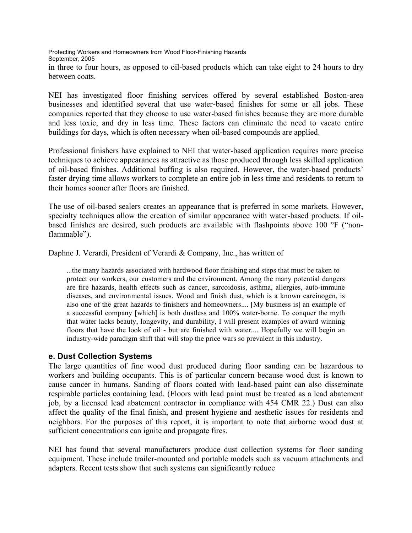Protecting Workers and Homeowners from Wood Floor-Finishing Hazards September, 2005 in three to four hours, as opposed to oil-based products which can take eight to 24 hours to dry between coats.

NEI has investigated floor finishing services offered by several established Boston-area businesses and identified several that use water-based finishes for some or all jobs. These companies reported that they choose to use water-based finishes because they are more durable and less toxic, and dry in less time. These factors can eliminate the need to vacate entire buildings for days, which is often necessary when oil-based compounds are applied.

Professional finishers have explained to NEI that water-based application requires more precise techniques to achieve appearances as attractive as those produced through less skilled application of oil-based finishes. Additional buffing is also required. However, the water-based products' faster drying time allows workers to complete an entire job in less time and residents to return to their homes sooner after floors are finished.

The use of oil-based sealers creates an appearance that is preferred in some markets. However, specialty techniques allow the creation of similar appearance with water-based products. If oilbased finishes are desired, such products are available with flashpoints above 100 °F ("nonflammable").

Daphne J. Verardi, President of Verardi & Company, Inc., has written of

...the many hazards associated with hardwood floor finishing and steps that must be taken to protect our workers, our customers and the environment. Among the many potential dangers are fire hazards, health effects such as cancer, sarcoidosis, asthma, allergies, auto-immune diseases, and environmental issues. Wood and finish dust, which is a known carcinogen, is also one of the great hazards to finishers and homeowners.... [My business is] an example of a successful company [which] is both dustless and 100% water-borne. To conquer the myth that water lacks beauty, longevity, and durability, I will present examples of award winning floors that have the look of oil - but are finished with water.... Hopefully we will begin an industry-wide paradigm shift that will stop the price wars so prevalent in this industry.

#### **e. Dust Collection Systems**

The large quantities of fine wood dust produced during floor sanding can be hazardous to workers and building occupants. This is of particular concern because wood dust is known to cause cancer in humans. Sanding of floors coated with lead-based paint can also disseminate respirable particles containing lead. (Floors with lead paint must be treated as a lead abatement job, by a licensed lead abatement contractor in compliance with 454 CMR 22.) Dust can also affect the quality of the final finish, and present hygiene and aesthetic issues for residents and neighbors. For the purposes of this report, it is important to note that airborne wood dust at sufficient concentrations can ignite and propagate fires.

NEI has found that several manufacturers produce dust collection systems for floor sanding equipment. These include trailer-mounted and portable models such as vacuum attachments and adapters. Recent tests show that such systems can significantly reduce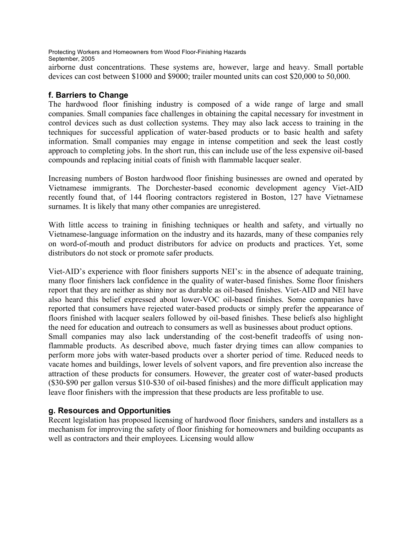airborne dust concentrations. These systems are, however, large and heavy. Small portable devices can cost between \$1000 and \$9000; trailer mounted units can cost \$20,000 to 50,000.

#### **f. Barriers to Change**

The hardwood floor finishing industry is composed of a wide range of large and small companies. Small companies face challenges in obtaining the capital necessary for investment in control devices such as dust collection systems. They may also lack access to training in the techniques for successful application of water-based products or to basic health and safety information. Small companies may engage in intense competition and seek the least costly approach to completing jobs. In the short run, this can include use of the less expensive oil-based compounds and replacing initial coats of finish with flammable lacquer sealer.

Increasing numbers of Boston hardwood floor finishing businesses are owned and operated by Vietnamese immigrants. The Dorchester-based economic development agency Viet-AID recently found that, of 144 flooring contractors registered in Boston, 127 have Vietnamese surnames. It is likely that many other companies are unregistered.

With little access to training in finishing techniques or health and safety, and virtually no Vietnamese-language information on the industry and its hazards, many of these companies rely on word-of-mouth and product distributors for advice on products and practices. Yet, some distributors do not stock or promote safer products.

Viet-AID's experience with floor finishers supports NEI's: in the absence of adequate training, many floor finishers lack confidence in the quality of water-based finishes. Some floor finishers report that they are neither as shiny nor as durable as oil-based finishes. Viet-AID and NEI have also heard this belief expressed about lower-VOC oil-based finishes. Some companies have reported that consumers have rejected water-based products or simply prefer the appearance of floors finished with lacquer sealers followed by oil-based finishes. These beliefs also highlight the need for education and outreach to consumers as well as businesses about product options. Small companies may also lack understanding of the cost-benefit tradeoffs of using nonflammable products. As described above, much faster drying times can allow companies to perform more jobs with water-based products over a shorter period of time. Reduced needs to vacate homes and buildings, lower levels of solvent vapors, and fire prevention also increase the attraction of these products for consumers. However, the greater cost of water-based products (\$30-\$90 per gallon versus \$10-\$30 of oil-based finishes) and the more difficult application may leave floor finishers with the impression that these products are less profitable to use.

#### **g. Resources and Opportunities**

Recent legislation has proposed licensing of hardwood floor finishers, sanders and installers as a mechanism for improving the safety of floor finishing for homeowners and building occupants as well as contractors and their employees. Licensing would allow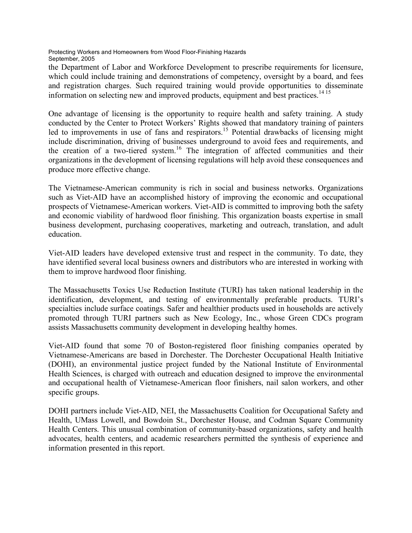the Department of Labor and Workforce Development to prescribe requirements for licensure, which could include training and demonstrations of competency, oversight by a board, and fees and registration charges. Such required training would provide opportunities to disseminate information on selecting new and improved products, equipment and best practices. 14 15

One advantage of licensing is the opportunity to require health and safety training. A study conducted by the Center to Protect Workers' Rights showed that mandatory training of painters led to improvements in use of fans and respirators.<sup>15</sup> Potential drawbacks of licensing might include discrimination, driving of businesses underground to avoid fees and requirements, and the creation of a two-tiered system. <sup>16</sup> The integration of affected communities and their organizations in the development of licensing regulations will help avoid these consequences and produce more effective change.

The Vietnamese-American community is rich in social and business networks. Organizations such as Viet-AID have an accomplished history of improving the economic and occupational prospects of Vietnamese-American workers. Viet-AID is committed to improving both the safety and economic viability of hardwood floor finishing. This organization boasts expertise in small business development, purchasing cooperatives, marketing and outreach, translation, and adult education.

Viet-AID leaders have developed extensive trust and respect in the community. To date, they have identified several local business owners and distributors who are interested in working with them to improve hardwood floor finishing.

The Massachusetts Toxics Use Reduction Institute (TURI) has taken national leadership in the identification, development, and testing of environmentally preferable products. TURI's specialties include surface coatings. Safer and healthier products used in households are actively promoted through TURI partners such as New Ecology, Inc., whose Green CDCs program assists Massachusetts community development in developing healthy homes.

Viet-AID found that some 70 of Boston-registered floor finishing companies operated by Vietnamese-Americans are based in Dorchester. The Dorchester Occupational Health Initiative (DOHI), an environmental justice project funded by the National Institute of Environmental Health Sciences, is charged with outreach and education designed to improve the environmental and occupational health of Vietnamese-American floor finishers, nail salon workers, and other specific groups.

DOHI partners include Viet-AID, NEI, the Massachusetts Coalition for Occupational Safety and Health, UMass Lowell, and Bowdoin St., Dorchester House, and Codman Square Community Health Centers. This unusual combination of community-based organizations, safety and health advocates, health centers, and academic researchers permitted the synthesis of experience and information presented in this report.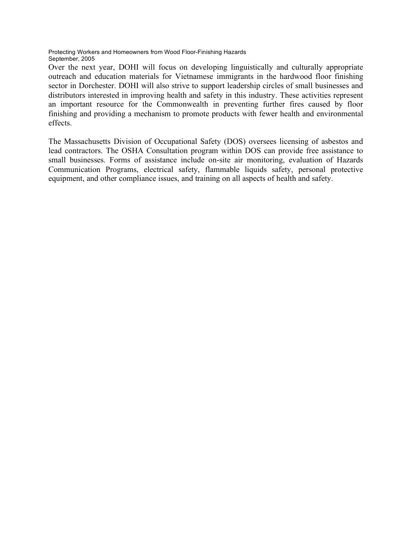Over the next year, DOHI will focus on developing linguistically and culturally appropriate outreach and education materials for Vietnamese immigrants in the hardwood floor finishing sector in Dorchester. DOHI will also strive to support leadership circles of small businesses and distributors interested in improving health and safety in this industry. These activities represent an important resource for the Commonwealth in preventing further fires caused by floor finishing and providing a mechanism to promote products with fewer health and environmental effects.

The Massachusetts Division of Occupational Safety (DOS) oversees licensing of asbestos and lead contractors. The OSHA Consultation program within DOS can provide free assistance to small businesses. Forms of assistance include on-site air monitoring, evaluation of Hazards Communication Programs, electrical safety, flammable liquids safety, personal protective equipment, and other compliance issues, and training on all aspects of health and safety.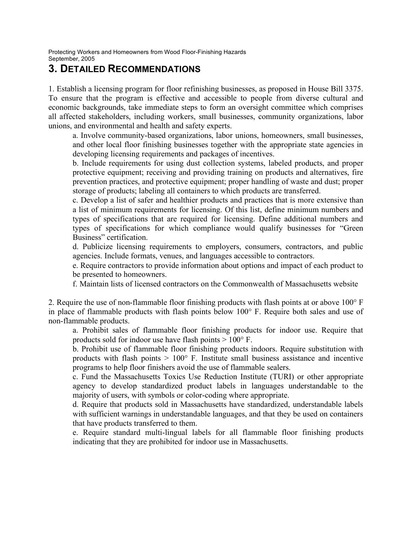# **3. DETAILED RECOMMENDATIONS**

1. Establish a licensing program for floor refinishing businesses, as proposed in House Bill 3375. To ensure that the program is effective and accessible to people from diverse cultural and economic backgrounds, take immediate steps to form an oversight committee which comprises all affected stakeholders, including workers, small businesses, community organizations, labor unions, and environmental and health and safety experts.

a. Involve community-based organizations, labor unions, homeowners, small businesses, and other local floor finishing businesses together with the appropriate state agencies in developing licensing requirements and packages of incentives.

b. Include requirements for using dust collection systems, labeled products, and proper protective equipment; receiving and providing training on products and alternatives, fire prevention practices, and protective equipment; proper handling of waste and dust; proper storage of products; labeling all containers to which products are transferred.

c. Develop a list of safer and healthier products and practices that is more extensive than a list of minimum requirements for licensing. Of this list, define minimum numbers and types of specifications that are required for licensing. Define additional numbers and types of specifications for which compliance would qualify businesses for "Green Business" certification.

d. Publicize licensing requirements to employers, consumers, contractors, and public agencies. Include formats, venues, and languages accessible to contractors.

e. Require contractors to provide information about options and impact of each product to be presented to homeowners.

f. Maintain lists of licensed contractors on the Commonwealth of Massachusetts website

2. Require the use of non-flammable floor finishing products with flash points at or above 100° F in place of flammable products with flash points below 100° F. Require both sales and use of non-flammable products.

a. Prohibit sales of flammable floor finishing products for indoor use. Require that products sold for indoor use have flash points > 100° F.

b. Prohibit use of flammable floor finishing products indoors. Require substitution with products with flash points  $> 100^{\circ}$  F. Institute small business assistance and incentive programs to help floor finishers avoid the use of flammable sealers.

c. Fund the Massachusetts Toxics Use Reduction Institute (TURI) or other appropriate agency to develop standardized product labels in languages understandable to the majority of users, with symbols or color-coding where appropriate.

d. Require that products sold in Massachusetts have standardized, understandable labels with sufficient warnings in understandable languages, and that they be used on containers that have products transferred to them.

e. Require standard multi-lingual labels for all flammable floor finishing products indicating that they are prohibited for indoor use in Massachusetts.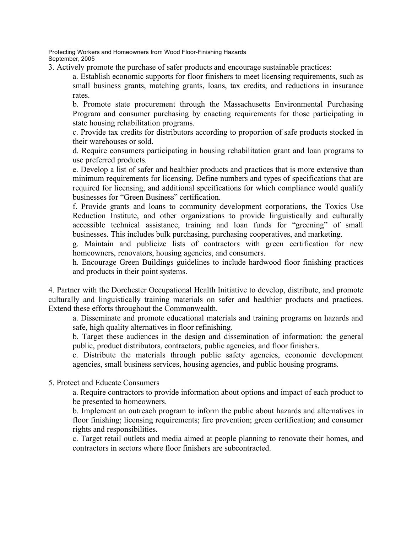3. Actively promote the purchase of safer products and encourage sustainable practices:

a. Establish economic supports for floor finishers to meet licensing requirements, such as small business grants, matching grants, loans, tax credits, and reductions in insurance rates.

b. Promote state procurement through the Massachusetts Environmental Purchasing Program and consumer purchasing by enacting requirements for those participating in state housing rehabilitation programs.

c. Provide tax credits for distributors according to proportion of safe products stocked in their warehouses or sold.

d. Require consumers participating in housing rehabilitation grant and loan programs to use preferred products.

e. Develop a list of safer and healthier products and practices that is more extensive than minimum requirements for licensing. Define numbers and types of specifications that are required for licensing, and additional specifications for which compliance would qualify businesses for "Green Business" certification.

f. Provide grants and loans to community development corporations, the Toxics Use Reduction Institute, and other organizations to provide linguistically and culturally accessible technical assistance, training and loan funds for "greening" of small businesses. This includes bulk purchasing, purchasing cooperatives, and marketing.

g. Maintain and publicize lists of contractors with green certification for new homeowners, renovators, housing agencies, and consumers.

h. Encourage Green Buildings guidelines to include hardwood floor finishing practices and products in their point systems.

4. Partner with the Dorchester Occupational Health Initiative to develop, distribute, and promote culturally and linguistically training materials on safer and healthier products and practices. Extend these efforts throughout the Commonwealth.

a. Disseminate and promote educational materials and training programs on hazards and safe, high quality alternatives in floor refinishing.

b. Target these audiences in the design and dissemination of information: the general public, product distributors, contractors, public agencies, and floor finishers.

c. Distribute the materials through public safety agencies, economic development agencies, small business services, housing agencies, and public housing programs.

5. Protect and Educate Consumers

a. Require contractors to provide information about options and impact of each product to be presented to homeowners.

b. Implement an outreach program to inform the public about hazards and alternatives in floor finishing; licensing requirements; fire prevention; green certification; and consumer rights and responsibilities.

c. Target retail outlets and media aimed at people planning to renovate their homes, and contractors in sectors where floor finishers are subcontracted.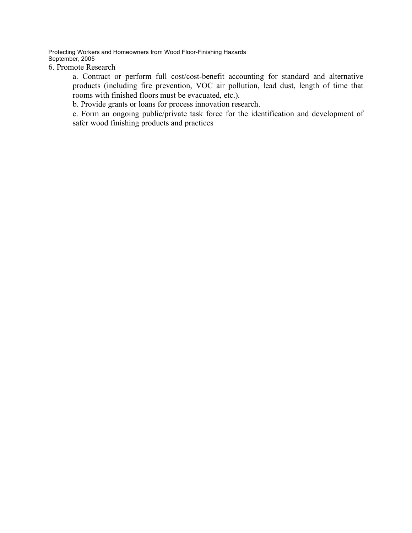6. Promote Research

a. Contract or perform full cost/cost-benefit accounting for standard and alternative products (including fire prevention, VOC air pollution, lead dust, length of time that rooms with finished floors must be evacuated, etc.).

b. Provide grants or loans for process innovation research.

c. Form an ongoing public/private task force for the identification and development of safer wood finishing products and practices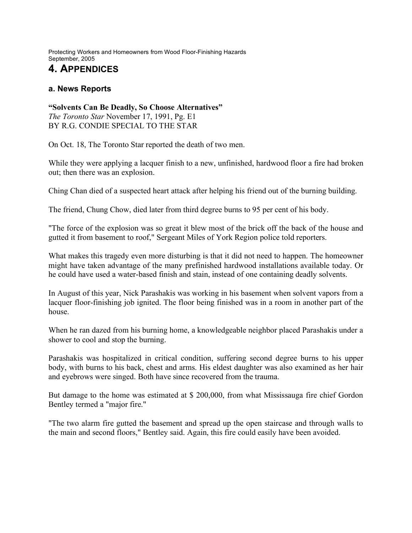# **4. APPENDICES**

#### **a. News Reports**

**"Solvents Can Be Deadly, So Choose Alternatives"**  *The Toronto Star* November 17, 1991, Pg. E1 BY R.G. CONDIE SPECIAL TO THE STAR

On Oct. 18, The Toronto Star reported the death of two men.

While they were applying a lacquer finish to a new, unfinished, hardwood floor a fire had broken out; then there was an explosion.

Ching Chan died of a suspected heart attack after helping his friend out of the burning building.

The friend, Chung Chow, died later from third degree burns to 95 per cent of his body.

"The force of the explosion was so great it blew most of the brick off the back of the house and gutted it from basement to roof," Sergeant Miles of York Region police told reporters.

What makes this tragedy even more disturbing is that it did not need to happen. The homeowner might have taken advantage of the many prefinished hardwood installations available today. Or he could have used a water-based finish and stain, instead of one containing deadly solvents.

In August of this year, Nick Parashakis was working in his basement when solvent vapors from a lacquer floor-finishing job ignited. The floor being finished was in a room in another part of the house.

When he ran dazed from his burning home, a knowledgeable neighbor placed Parashakis under a shower to cool and stop the burning.

Parashakis was hospitalized in critical condition, suffering second degree burns to his upper body, with burns to his back, chest and arms. His eldest daughter was also examined as her hair and eyebrows were singed. Both have since recovered from the trauma.

But damage to the home was estimated at \$ 200,000, from what Mississauga fire chief Gordon Bentley termed a "major fire."

"The two alarm fire gutted the basement and spread up the open staircase and through walls to the main and second floors," Bentley said. Again, this fire could easily have been avoided.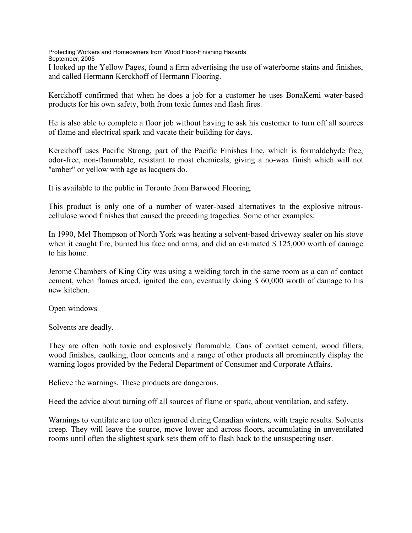I looked up the Yellow Pages, found a firm advertising the use of waterborne stains and finishes, and called Hermann Kerckhoff of Hermann Flooring.

Kerckhoff confirmed that when he does a job for a customer he uses BonaKemi water-based products for his own safety, both from toxic fumes and flash fires.

He is also able to complete a floor job without having to ask his customer to turn off all sources of flame and electrical spark and vacate their building for days.

Kerckhoff uses Pacific Strong, part of the Pacific Finishes line, which is formaldehyde free, odor-free, non-flammable, resistant to most chemicals, giving a no-wax finish which will not "amber" or yellow with age as lacquers do.

It is available to the public in Toronto from Barwood Flooring.

This product is only one of a number of water-based alternatives to the explosive nitrouscellulose wood finishes that caused the preceding tragedies. Some other examples:

In 1990, Mel Thompson of North York was heating a solvent-based driveway sealer on his stove when it caught fire, burned his face and arms, and did an estimated \$ 125,000 worth of damage to his home.

Jerome Chambers of King City was using a welding torch in the same room as a can of contact cement, when flames arced, ignited the can, eventually doing \$ 60,000 worth of damage to his new kitchen.

Open windows

Solvents are deadly.

They are often both toxic and explosively flammable. Cans of contact cement, wood fillers, wood finishes, caulking, floor cements and a range of other products all prominently display the warning logos provided by the Federal Department of Consumer and Corporate Affairs.

Believe the warnings. These products are dangerous.

Heed the advice about turning off all sources of flame or spark, about ventilation, and safety.

Warnings to ventilate are too often ignored during Canadian winters, with tragic results. Solvents creep. They will leave the source, move lower and across floors, accumulating in unventilated rooms until often the slightest spark sets them off to flash back to the unsuspecting user.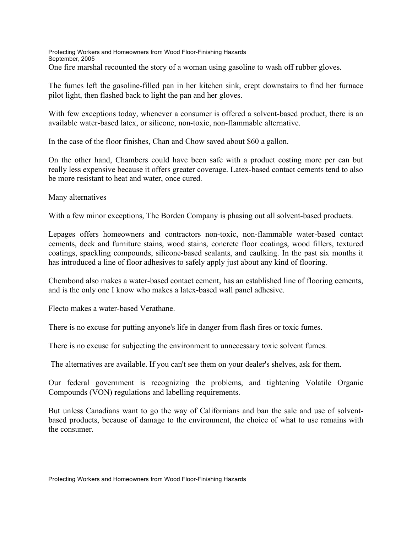Protecting Workers and Homeowners from Wood Floor-Finishing Hazards September, 2005 One fire marshal recounted the story of a woman using gasoline to wash off rubber gloves.

The fumes left the gasoline-filled pan in her kitchen sink, crept downstairs to find her furnace pilot light, then flashed back to light the pan and her gloves.

With few exceptions today, whenever a consumer is offered a solvent-based product, there is an available water-based latex, or silicone, non-toxic, non-flammable alternative.

In the case of the floor finishes, Chan and Chow saved about \$60 a gallon.

On the other hand, Chambers could have been safe with a product costing more per can but really less expensive because it offers greater coverage. Latex-based contact cements tend to also be more resistant to heat and water, once cured.

Many alternatives

With a few minor exceptions, The Borden Company is phasing out all solvent-based products.

Lepages offers homeowners and contractors non-toxic, non-flammable water-based contact cements, deck and furniture stains, wood stains, concrete floor coatings, wood fillers, textured coatings, spackling compounds, silicone-based sealants, and caulking. In the past six months it has introduced a line of floor adhesives to safely apply just about any kind of flooring.

Chembond also makes a water-based contact cement, has an established line of flooring cements, and is the only one I know who makes a latex-based wall panel adhesive.

Flecto makes a water-based Verathane.

There is no excuse for putting anyone's life in danger from flash fires or toxic fumes.

There is no excuse for subjecting the environment to unnecessary toxic solvent fumes.

The alternatives are available. If you can't see them on your dealer's shelves, ask for them.

Our federal government is recognizing the problems, and tightening Volatile Organic Compounds (VON) regulations and labelling requirements.

But unless Canadians want to go the way of Californians and ban the sale and use of solventbased products, because of damage to the environment, the choice of what to use remains with the consumer.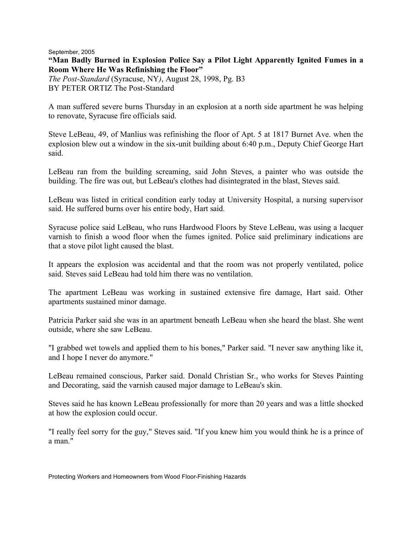September, 2005 **"Man Badly Burned in Explosion Police Say a Pilot Light Apparently Ignited Fumes in a Room Where He Was Refinishing the Floor"**  *The Post-Standard* (Syracuse, NY*)*, August 28, 1998, Pg. B3 BY PETER ORTIZ The Post-Standard

A man suffered severe burns Thursday in an explosion at a north side apartment he was helping to renovate, Syracuse fire officials said.

Steve LeBeau, 49, of Manlius was refinishing the floor of Apt. 5 at 1817 Burnet Ave. when the explosion blew out a window in the six-unit building about 6:40 p.m., Deputy Chief George Hart said.

LeBeau ran from the building screaming, said John Steves, a painter who was outside the building. The fire was out, but LeBeau's clothes had disintegrated in the blast, Steves said.

LeBeau was listed in critical condition early today at University Hospital, a nursing supervisor said. He suffered burns over his entire body, Hart said.

Syracuse police said LeBeau, who runs Hardwood Floors by Steve LeBeau, was using a lacquer varnish to finish a wood floor when the fumes ignited. Police said preliminary indications are that a stove pilot light caused the blast.

It appears the explosion was accidental and that the room was not properly ventilated, police said. Steves said LeBeau had told him there was no ventilation.

The apartment LeBeau was working in sustained extensive fire damage, Hart said. Other apartments sustained minor damage.

Patricia Parker said she was in an apartment beneath LeBeau when she heard the blast. She went outside, where she saw LeBeau.

"I grabbed wet towels and applied them to his bones," Parker said. "I never saw anything like it, and I hope I never do anymore."

LeBeau remained conscious, Parker said. Donald Christian Sr., who works for Steves Painting and Decorating, said the varnish caused major damage to LeBeau's skin.

Steves said he has known LeBeau professionally for more than 20 years and was a little shocked at how the explosion could occur.

"I really feel sorry for the guy," Steves said. "If you knew him you would think he is a prince of a man."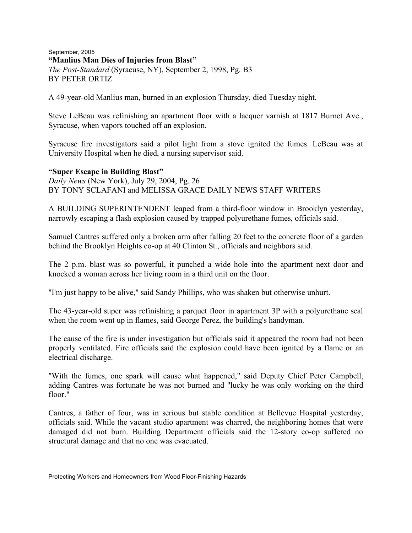September, 2005 **"Manlius Man Dies of Injuries from Blast"**  *The Post-Standard* (Syracuse, NY), September 2, 1998, Pg. B3 BY PETER ORTIZ

A 49-year-old Manlius man, burned in an explosion Thursday, died Tuesday night.

Steve LeBeau was refinishing an apartment floor with a lacquer varnish at 1817 Burnet Ave., Syracuse, when vapors touched off an explosion.

Syracuse fire investigators said a pilot light from a stove ignited the fumes. LeBeau was at University Hospital when he died, a nursing supervisor said.

#### **"Super Escape in Building Blast"**

*Daily News* (New York), July 29, 2004, Pg. 26 BY TONY SCLAFANI and MELISSA GRACE DAILY NEWS STAFF WRITERS

A BUILDING SUPERINTENDENT leaped from a third-floor window in Brooklyn yesterday, narrowly escaping a flash explosion caused by trapped polyurethane fumes, officials said.

Samuel Cantres suffered only a broken arm after falling 20 feet to the concrete floor of a garden behind the Brooklyn Heights co-op at 40 Clinton St., officials and neighbors said.

The 2 p.m. blast was so powerful, it punched a wide hole into the apartment next door and knocked a woman across her living room in a third unit on the floor.

"I'm just happy to be alive," said Sandy Phillips, who was shaken but otherwise unhurt.

The 43-year-old super was refinishing a parquet floor in apartment 3P with a polyurethane seal when the room went up in flames, said George Perez, the building's handyman.

The cause of the fire is under investigation but officials said it appeared the room had not been properly ventilated. Fire officials said the explosion could have been ignited by a flame or an electrical discharge.

"With the fumes, one spark will cause what happened," said Deputy Chief Peter Campbell, adding Cantres was fortunate he was not burned and "lucky he was only working on the third floor."

Cantres, a father of four, was in serious but stable condition at Bellevue Hospital yesterday, officials said. While the vacant studio apartment was charred, the neighboring homes that were damaged did not burn. Building Department officials said the 12-story co-op suffered no structural damage and that no one was evacuated.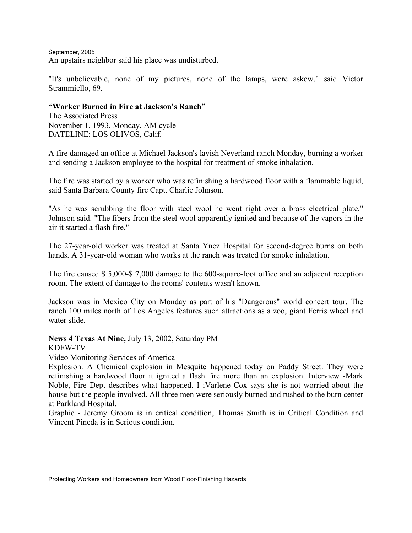September, 2005 An upstairs neighbor said his place was undisturbed.

"It's unbelievable, none of my pictures, none of the lamps, were askew," said Victor Strammiello, 69.

#### **"Worker Burned in Fire at Jackson's Ranch"**

The Associated Press November 1, 1993, Monday, AM cycle DATELINE: LOS OLIVOS, Calif.

A fire damaged an office at Michael Jackson's lavish Neverland ranch Monday, burning a worker and sending a Jackson employee to the hospital for treatment of smoke inhalation.

The fire was started by a worker who was refinishing a hardwood floor with a flammable liquid, said Santa Barbara County fire Capt. Charlie Johnson.

"As he was scrubbing the floor with steel wool he went right over a brass electrical plate," Johnson said. "The fibers from the steel wool apparently ignited and because of the vapors in the air it started a flash fire."

The 27-year-old worker was treated at Santa Ynez Hospital for second-degree burns on both hands. A 31-year-old woman who works at the ranch was treated for smoke inhalation.

The fire caused \$ 5,000-\$ 7,000 damage to the 600-square-foot office and an adjacent reception room. The extent of damage to the rooms' contents wasn't known.

Jackson was in Mexico City on Monday as part of his "Dangerous" world concert tour. The ranch 100 miles north of Los Angeles features such attractions as a zoo, giant Ferris wheel and water slide.

**News 4 Texas At Nine,** July 13, 2002, Saturday PM

KDFW-TV

#### Video Monitoring Services of America

Explosion. A Chemical explosion in Mesquite happened today on Paddy Street. They were refinishing a hardwood floor it ignited a flash fire more than an explosion. Interview -Mark Noble, Fire Dept describes what happened. I ;Varlene Cox says she is not worried about the house but the people involved. All three men were seriously burned and rushed to the burn center at Parkland Hospital.

Graphic - Jeremy Groom is in critical condition, Thomas Smith is in Critical Condition and Vincent Pineda is in Serious condition.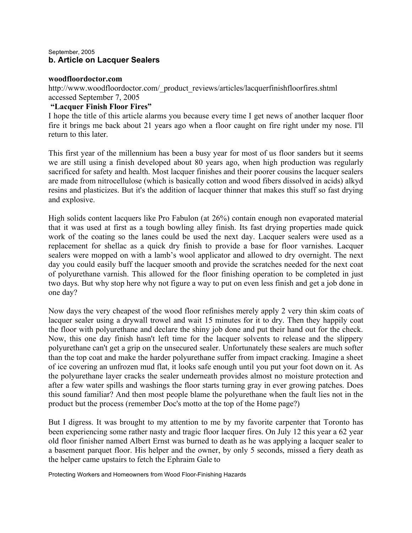#### September, 2005 **b. Article on Lacquer Sealers**

#### **woodfloordoctor.com**

http://www.woodfloordoctor.com/\_product\_reviews/articles/lacquerfinishfloorfires.shtml accessed September 7, 2005

#### **"Lacquer Finish Floor Fires"**

I hope the title of this article alarms you because every time I get news of another lacquer floor fire it brings me back about 21 years ago when a floor caught on fire right under my nose. I'll return to this later.

This first year of the millennium has been a busy year for most of us floor sanders but it seems we are still using a finish developed about 80 years ago, when high production was regularly sacrificed for safety and health. Most lacquer finishes and their poorer cousins the lacquer sealers are made from nitrocellulose (which is basically cotton and wood fibers dissolved in acids) alkyd resins and plasticizes. But it's the addition of lacquer thinner that makes this stuff so fast drying and explosive.

High solids content lacquers like Pro Fabulon (at 26%) contain enough non evaporated material that it was used at first as a tough bowling alley finish. Its fast drying properties made quick work of the coating so the lanes could be used the next day. Lacquer sealers were used as a replacement for shellac as a quick dry finish to provide a base for floor varnishes. Lacquer sealers were mopped on with a lamb's wool applicator and allowed to dry overnight. The next day you could easily buff the lacquer smooth and provide the scratches needed for the next coat of polyurethane varnish. This allowed for the floor finishing operation to be completed in just two days. But why stop here why not figure a way to put on even less finish and get a job done in one day?

Now days the very cheapest of the wood floor refinishes merely apply 2 very thin skim coats of lacquer sealer using a drywall trowel and wait 15 minutes for it to dry. Then they happily coat the floor with polyurethane and declare the shiny job done and put their hand out for the check. Now, this one day finish hasn't left time for the lacquer solvents to release and the slippery polyurethane can't get a grip on the unsecured sealer. Unfortunately these sealers are much softer than the top coat and make the harder polyurethane suffer from impact cracking. Imagine a sheet of ice covering an unfrozen mud flat, it looks safe enough until you put your foot down on it. As the polyurethane layer cracks the sealer underneath provides almost no moisture protection and after a few water spills and washings the floor starts turning gray in ever growing patches. Does this sound familiar? And then most people blame the polyurethane when the fault lies not in the product but the process (remember Doc's motto at the top of the Home page?)

But I digress. It was brought to my attention to me by my favorite carpenter that Toronto has been experiencing some rather nasty and tragic floor lacquer fires. On July 12 this year a 62 year old floor finisher named Albert Ernst was burned to death as he was applying a lacquer sealer to a basement parquet floor. His helper and the owner, by only 5 seconds, missed a fiery death as the helper came upstairs to fetch the Ephraim Gale to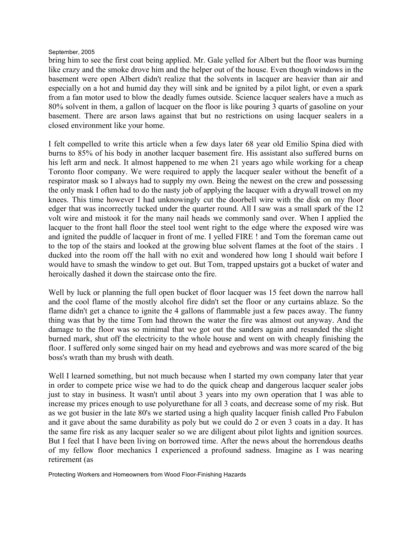bring him to see the first coat being applied. Mr. Gale yelled for Albert but the floor was burning like crazy and the smoke drove him and the helper out of the house. Even though windows in the basement were open Albert didn't realize that the solvents in lacquer are heavier than air and especially on a hot and humid day they will sink and be ignited by a pilot light, or even a spark from a fan motor used to blow the deadly fumes outside. Science lacquer sealers have a much as 80% solvent in them, a gallon of lacquer on the floor is like pouring 3 quarts of gasoline on your basement. There are arson laws against that but no restrictions on using lacquer sealers in a closed environment like your home.

I felt compelled to write this article when a few days later 68 year old Emilio Spina died with burns to 85% of his body in another lacquer basement fire. His assistant also suffered burns on his left arm and neck. It almost happened to me when 21 years ago while working for a cheap Toronto floor company. We were required to apply the lacquer sealer without the benefit of a respirator mask so I always had to supply my own. Being the newest on the crew and possessing the only mask I often had to do the nasty job of applying the lacquer with a drywall trowel on my knees. This time however I had unknowingly cut the doorbell wire with the disk on my floor edger that was incorrectly tucked under the quarter round. All I saw was a small spark of the 12 volt wire and mistook it for the many nail heads we commonly sand over. When I applied the lacquer to the front hall floor the steel tool went right to the edge where the exposed wire was and ignited the puddle of lacquer in front of me. I yelled FIRE ! and Tom the foreman came out to the top of the stairs and looked at the growing blue solvent flames at the foot of the stairs . I ducked into the room off the hall with no exit and wondered how long I should wait before I would have to smash the window to get out. But Tom, trapped upstairs got a bucket of water and heroically dashed it down the staircase onto the fire.

Well by luck or planning the full open bucket of floor lacquer was 15 feet down the narrow hall and the cool flame of the mostly alcohol fire didn't set the floor or any curtains ablaze. So the flame didn't get a chance to ignite the 4 gallons of flammable just a few paces away. The funny thing was that by the time Tom had thrown the water the fire was almost out anyway. And the damage to the floor was so minimal that we got out the sanders again and resanded the slight burned mark, shut off the electricity to the whole house and went on with cheaply finishing the floor. I suffered only some singed hair on my head and eyebrows and was more scared of the big boss's wrath than my brush with death.

Well I learned something, but not much because when I started my own company later that year in order to compete price wise we had to do the quick cheap and dangerous lacquer sealer jobs just to stay in business. It wasn't until about 3 years into my own operation that I was able to increase my prices enough to use polyurethane for all 3 coats, and decrease some of my risk. But as we got busier in the late 80's we started using a high quality lacquer finish called Pro Fabulon and it gave about the same durability as poly but we could do 2 or even 3 coats in a day. It has the same fire risk as any lacquer sealer so we are diligent about pilot lights and ignition sources. But I feel that I have been living on borrowed time. After the news about the horrendous deaths of my fellow floor mechanics I experienced a profound sadness. Imagine as I was nearing retirement (as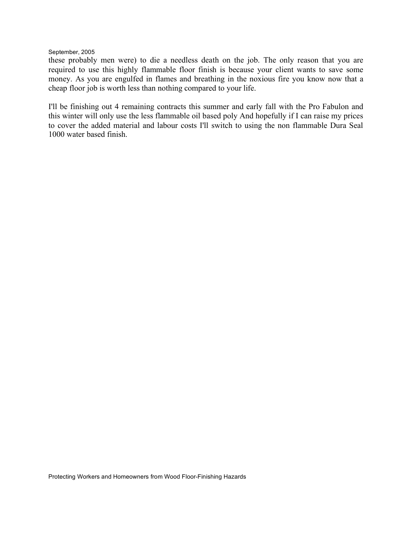these probably men were) to die a needless death on the job. The only reason that you are required to use this highly flammable floor finish is because your client wants to save some money. As you are engulfed in flames and breathing in the noxious fire you know now that a cheap floor job is worth less than nothing compared to your life.

I'll be finishing out 4 remaining contracts this summer and early fall with the Pro Fabulon and this winter will only use the less flammable oil based poly And hopefully if I can raise my prices to cover the added material and labour costs I'll switch to using the non flammable Dura Seal 1000 water based finish.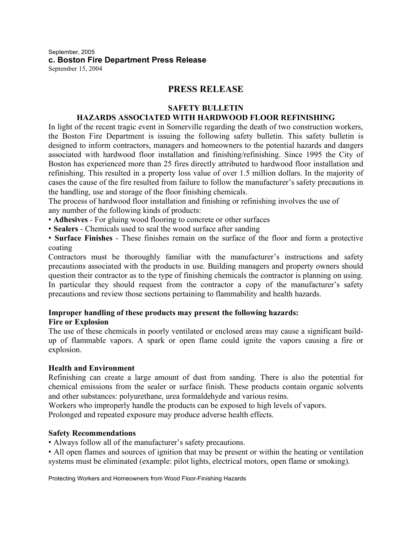September, 2005 **c. Boston Fire Department Press Release** September 15, 2004

### **PRESS RELEASE**

#### **SAFETY BULLETIN**

#### **HAZARDS ASSOCIATED WITH HARDWOOD FLOOR REFINISHING**

In light of the recent tragic event in Somerville regarding the death of two construction workers, the Boston Fire Department is issuing the following safety bulletin. This safety bulletin is designed to inform contractors, managers and homeowners to the potential hazards and dangers associated with hardwood floor installation and finishing/refinishing. Since 1995 the City of Boston has experienced more than 25 fires directly attributed to hardwood floor installation and refinishing. This resulted in a property loss value of over 1.5 million dollars. In the majority of cases the cause of the fire resulted from failure to follow the manufacturer's safety precautions in the handling, use and storage of the floor finishing chemicals.

The process of hardwood floor installation and finishing or refinishing involves the use of any number of the following kinds of products:

• **Adhesives** - For gluing wood flooring to concrete or other surfaces

• **Sealers** - Chemicals used to seal the wood surface after sanding

• **Surface Finishes** - These finishes remain on the surface of the floor and form a protective coating

Contractors must be thoroughly familiar with the manufacturer's instructions and safety precautions associated with the products in use. Building managers and property owners should question their contractor as to the type of finishing chemicals the contractor is planning on using. In particular they should request from the contractor a copy of the manufacturer's safety precautions and review those sections pertaining to flammability and health hazards.

#### **Improper handling of these products may present the following hazards: Fire or Explosion**

The use of these chemicals in poorly ventilated or enclosed areas may cause a significant buildup of flammable vapors. A spark or open flame could ignite the vapors causing a fire or explosion.

#### **Health and Environment**

Refinishing can create a large amount of dust from sanding. There is also the potential for chemical emissions from the sealer or surface finish. These products contain organic solvents and other substances: polyurethane, urea formaldehyde and various resins.

Workers who improperly handle the products can be exposed to high levels of vapors.

Prolonged and repeated exposure may produce adverse health effects.

#### **Safety Recommendations**

• Always follow all of the manufacturer's safety precautions.

• All open flames and sources of ignition that may be present or within the heating or ventilation systems must be eliminated (example: pilot lights, electrical motors, open flame or smoking).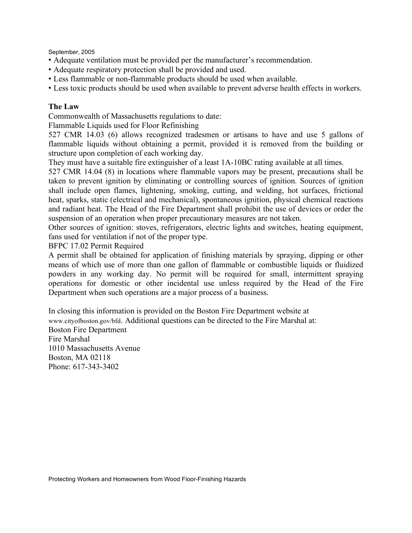- Adequate ventilation must be provided per the manufacturer's recommendation.
- Adequate respiratory protection shall be provided and used.
- Less flammable or non-flammable products should be used when available.
- Less toxic products should be used when available to prevent adverse health effects in workers.

#### **The Law**

Commonwealth of Massachusetts regulations to date:

Flammable Liquids used for Floor Refinishing

527 CMR 14.03 (6) allows recognized tradesmen or artisans to have and use 5 gallons of flammable liquids without obtaining a permit, provided it is removed from the building or structure upon completion of each working day.

They must have a suitable fire extinguisher of a least 1A-10BC rating available at all times.

527 CMR 14.04 (8) in locations where flammable vapors may be present, precautions shall be taken to prevent ignition by eliminating or controlling sources of ignition. Sources of ignition shall include open flames, lightening, smoking, cutting, and welding, hot surfaces, frictional heat, sparks, static (electrical and mechanical), spontaneous ignition, physical chemical reactions and radiant heat. The Head of the Fire Department shall prohibit the use of devices or order the suspension of an operation when proper precautionary measures are not taken.

Other sources of ignition: stoves, refrigerators, electric lights and switches, heating equipment, fans used for ventilation if not of the proper type.

BFPC 17.02 Permit Required

A permit shall be obtained for application of finishing materials by spraying, dipping or other means of which use of more than one gallon of flammable or combustible liquids or fluidized powders in any working day. No permit will be required for small, intermittent spraying operations for domestic or other incidental use unless required by the Head of the Fire Department when such operations are a major process of a business.

In closing this information is provided on the Boston Fire Department website at www.cityofboston.gov/bfd. Additional questions can be directed to the Fire Marshal at: Boston Fire Department Fire Marshal 1010 Massachusetts Avenue Boston, MA 02118 Phone: 617-343-3402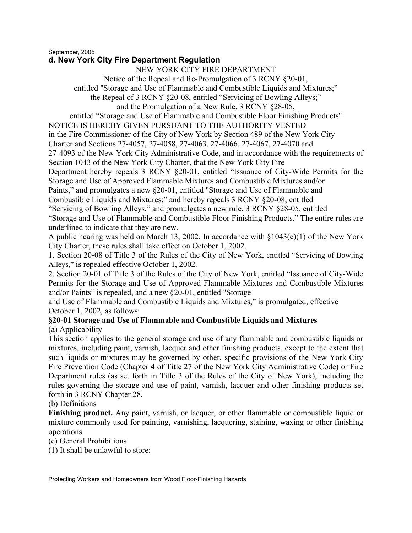#### **d. New York City Fire Department Regulation**

NEW YORK CITY FIRE DEPARTMENT

Notice of the Repeal and Re-Promulgation of 3 RCNY §20-01,

entitled "Storage and Use of Flammable and Combustible Liquids and Mixtures;"

the Repeal of 3 RCNY §20-08, entitled "Servicing of Bowling Alleys;"

and the Promulgation of a New Rule, 3 RCNY §28-05,

entitled "Storage and Use of Flammable and Combustible Floor Finishing Products"

NOTICE IS HEREBY GIVEN PURSUANT TO THE AUTHORITY VESTED

in the Fire Commissioner of the City of New York by Section 489 of the New York City

Charter and Sections 27-4057, 27-4058, 27-4063, 27-4066, 27-4067, 27-4070 and

27-4093 of the New York City Administrative Code, and in accordance with the requirements of Section 1043 of the New York City Charter, that the New York City Fire

Department hereby repeals 3 RCNY §20-01, entitled "Issuance of City-Wide Permits for the Storage and Use of Approved Flammable Mixtures and Combustible Mixtures and/or

Paints," and promulgates a new §20-01, entitled "Storage and Use of Flammable and

Combustible Liquids and Mixtures;" and hereby repeals 3 RCNY §20-08, entitled

"Servicing of Bowling Alleys," and promulgates a new rule, 3 RCNY §28-05, entitled

"Storage and Use of Flammable and Combustible Floor Finishing Products." The entire rules are underlined to indicate that they are new.

A public hearing was held on March 13, 2002. In accordance with §1043(e)(1) of the New York City Charter, these rules shall take effect on October 1, 2002.

1. Section 20-08 of Title 3 of the Rules of the City of New York, entitled "Servicing of Bowling Alleys," is repealed effective October 1, 2002.

2. Section 20-01 of Title 3 of the Rules of the City of New York, entitled "Issuance of City-Wide Permits for the Storage and Use of Approved Flammable Mixtures and Combustible Mixtures and/or Paints" is repealed, and a new §20-01, entitled "Storage

and Use of Flammable and Combustible Liquids and Mixtures," is promulgated, effective October 1, 2002, as follows:

#### **§20-01 Storage and Use of Flammable and Combustible Liquids and Mixtures** (a) Applicability

This section applies to the general storage and use of any flammable and combustible liquids or mixtures, including paint, varnish, lacquer and other finishing products, except to the extent that such liquids or mixtures may be governed by other, specific provisions of the New York City Fire Prevention Code (Chapter 4 of Title 27 of the New York City Administrative Code) or Fire Department rules (as set forth in Title 3 of the Rules of the City of New York), including the rules governing the storage and use of paint, varnish, lacquer and other finishing products set forth in 3 RCNY Chapter 28.

#### (b) Definitions

**Finishing product.** Any paint, varnish, or lacquer, or other flammable or combustible liquid or mixture commonly used for painting, varnishing, lacquering, staining, waxing or other finishing operations.

(c) General Prohibitions

(1) It shall be unlawful to store: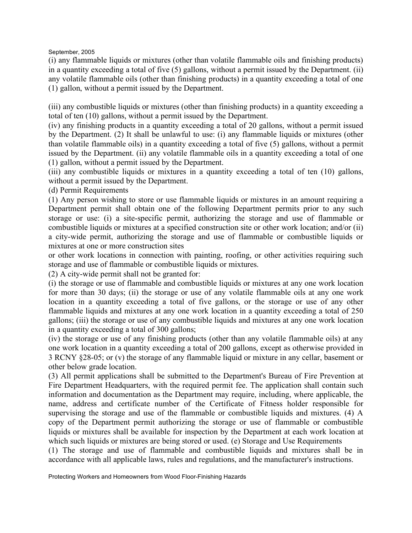(i) any flammable liquids or mixtures (other than volatile flammable oils and finishing products) in a quantity exceeding a total of five (5) gallons, without a permit issued by the Department. (ii) any volatile flammable oils (other than finishing products) in a quantity exceeding a total of one (1) gallon, without a permit issued by the Department.

(iii) any combustible liquids or mixtures (other than finishing products) in a quantity exceeding a total of ten (10) gallons, without a permit issued by the Department.

(iv) any finishing products in a quantity exceeding a total of 20 gallons, without a permit issued by the Department. (2) It shall be unlawful to use: (i) any flammable liquids or mixtures (other than volatile flammable oils) in a quantity exceeding a total of five (5) gallons, without a permit issued by the Department. (ii) any volatile flammable oils in a quantity exceeding a total of one (1) gallon, without a permit issued by the Department.

(iii) any combustible liquids or mixtures in a quantity exceeding a total of ten (10) gallons, without a permit issued by the Department.

(d) Permit Requirements

(1) Any person wishing to store or use flammable liquids or mixtures in an amount requiring a Department permit shall obtain one of the following Department permits prior to any such storage or use: (i) a site-specific permit, authorizing the storage and use of flammable or combustible liquids or mixtures at a specified construction site or other work location; and/or (ii) a city-wide permit, authorizing the storage and use of flammable or combustible liquids or mixtures at one or more construction sites

or other work locations in connection with painting, roofing, or other activities requiring such storage and use of flammable or combustible liquids or mixtures.

(2) A city-wide permit shall not be granted for:

(i) the storage or use of flammable and combustible liquids or mixtures at any one work location for more than 30 days; (ii) the storage or use of any volatile flammable oils at any one work location in a quantity exceeding a total of five gallons, or the storage or use of any other flammable liquids and mixtures at any one work location in a quantity exceeding a total of 250 gallons; (iii) the storage or use of any combustible liquids and mixtures at any one work location in a quantity exceeding a total of 300 gallons;

(iv) the storage or use of any finishing products (other than any volatile flammable oils) at any one work location in a quantity exceeding a total of 200 gallons, except as otherwise provided in 3 RCNY §28-05; or (v) the storage of any flammable liquid or mixture in any cellar, basement or other below grade location.

(3) All permit applications shall be submitted to the Department's Bureau of Fire Prevention at Fire Department Headquarters, with the required permit fee. The application shall contain such information and documentation as the Department may require, including, where applicable, the name, address and certificate number of the Certificate of Fitness holder responsible for supervising the storage and use of the flammable or combustible liquids and mixtures. (4) A copy of the Department permit authorizing the storage or use of flammable or combustible liquids or mixtures shall be available for inspection by the Department at each work location at which such liquids or mixtures are being stored or used. (e) Storage and Use Requirements

(1) The storage and use of flammable and combustible liquids and mixtures shall be in accordance with all applicable laws, rules and regulations, and the manufacturer's instructions.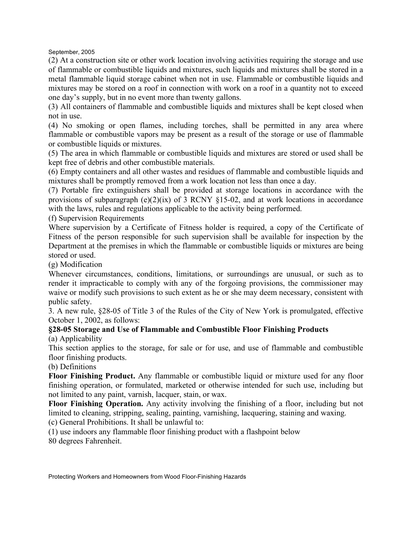(2) At a construction site or other work location involving activities requiring the storage and use of flammable or combustible liquids and mixtures, such liquids and mixtures shall be stored in a metal flammable liquid storage cabinet when not in use. Flammable or combustible liquids and mixtures may be stored on a roof in connection with work on a roof in a quantity not to exceed one day's supply, but in no event more than twenty gallons.

(3) All containers of flammable and combustible liquids and mixtures shall be kept closed when not in use.

(4) No smoking or open flames, including torches, shall be permitted in any area where flammable or combustible vapors may be present as a result of the storage or use of flammable or combustible liquids or mixtures.

(5) The area in which flammable or combustible liquids and mixtures are stored or used shall be kept free of debris and other combustible materials.

(6) Empty containers and all other wastes and residues of flammable and combustible liquids and mixtures shall be promptly removed from a work location not less than once a day.

(7) Portable fire extinguishers shall be provided at storage locations in accordance with the provisions of subparagraph (e)(2)(ix) of 3 RCNY  $\S$ 15-02, and at work locations in accordance with the laws, rules and regulations applicable to the activity being performed.

(f) Supervision Requirements

Where supervision by a Certificate of Fitness holder is required, a copy of the Certificate of Fitness of the person responsible for such supervision shall be available for inspection by the Department at the premises in which the flammable or combustible liquids or mixtures are being stored or used.

(g) Modification

Whenever circumstances, conditions, limitations, or surroundings are unusual, or such as to render it impracticable to comply with any of the forgoing provisions, the commissioner may waive or modify such provisions to such extent as he or she may deem necessary, consistent with public safety.

3. A new rule, §28-05 of Title 3 of the Rules of the City of New York is promulgated, effective October 1, 2002, as follows:

#### **§28-05 Storage and Use of Flammable and Combustible Floor Finishing Products** (a) Applicability

This section applies to the storage, for sale or for use, and use of flammable and combustible floor finishing products.

#### (b) Definitions

**Floor Finishing Product.** Any flammable or combustible liquid or mixture used for any floor finishing operation, or formulated, marketed or otherwise intended for such use, including but not limited to any paint, varnish, lacquer, stain, or wax.

**Floor Finishing Operation.** Any activity involving the finishing of a floor, including but not limited to cleaning, stripping, sealing, painting, varnishing, lacquering, staining and waxing.

(c) General Prohibitions. It shall be unlawful to:

(1) use indoors any flammable floor finishing product with a flashpoint below 80 degrees Fahrenheit.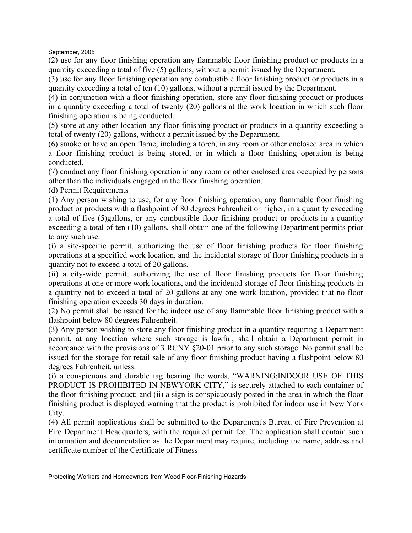(2) use for any floor finishing operation any flammable floor finishing product or products in a quantity exceeding a total of five (5) gallons, without a permit issued by the Department.

(3) use for any floor finishing operation any combustible floor finishing product or products in a quantity exceeding a total of ten (10) gallons, without a permit issued by the Department.

(4) in conjunction with a floor finishing operation, store any floor finishing product or products in a quantity exceeding a total of twenty (20) gallons at the work location in which such floor finishing operation is being conducted.

(5) store at any other location any floor finishing product or products in a quantity exceeding a total of twenty (20) gallons, without a permit issued by the Department.

(6) smoke or have an open flame, including a torch, in any room or other enclosed area in which a floor finishing product is being stored, or in which a floor finishing operation is being conducted.

(7) conduct any floor finishing operation in any room or other enclosed area occupied by persons other than the individuals engaged in the floor finishing operation.

(d) Permit Requirements

(1) Any person wishing to use, for any floor finishing operation, any flammable floor finishing product or products with a flashpoint of 80 degrees Fahrenheit or higher, in a quantity exceeding a total of five (5)gallons, or any combustible floor finishing product or products in a quantity exceeding a total of ten (10) gallons, shall obtain one of the following Department permits prior to any such use:

(i) a site-specific permit, authorizing the use of floor finishing products for floor finishing operations at a specified work location, and the incidental storage of floor finishing products in a quantity not to exceed a total of 20 gallons.

(ii) a city-wide permit, authorizing the use of floor finishing products for floor finishing operations at one or more work locations, and the incidental storage of floor finishing products in a quantity not to exceed a total of 20 gallons at any one work location, provided that no floor finishing operation exceeds 30 days in duration.

(2) No permit shall be issued for the indoor use of any flammable floor finishing product with a flashpoint below 80 degrees Fahrenheit.

(3) Any person wishing to store any floor finishing product in a quantity requiring a Department permit, at any location where such storage is lawful, shall obtain a Department permit in accordance with the provisions of 3 RCNY §20-01 prior to any such storage. No permit shall be issued for the storage for retail sale of any floor finishing product having a flashpoint below 80 degrees Fahrenheit, unless:

(i) a conspicuous and durable tag bearing the words, "WARNING:INDOOR USE OF THIS PRODUCT IS PROHIBITED IN NEWYORK CITY," is securely attached to each container of the floor finishing product; and (ii) a sign is conspicuously posted in the area in which the floor finishing product is displayed warning that the product is prohibited for indoor use in New York City.

(4) All permit applications shall be submitted to the Department's Bureau of Fire Prevention at Fire Department Headquarters, with the required permit fee. The application shall contain such information and documentation as the Department may require, including the name, address and certificate number of the Certificate of Fitness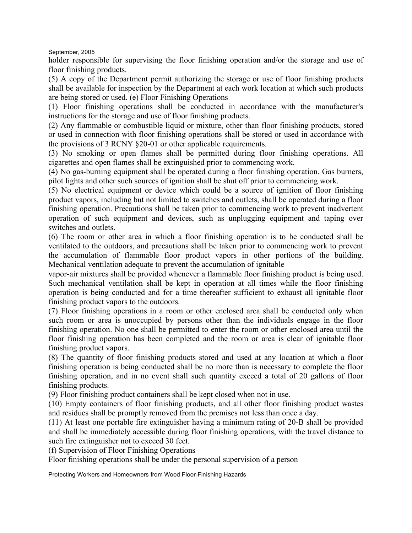holder responsible for supervising the floor finishing operation and/or the storage and use of floor finishing products.

(5) A copy of the Department permit authorizing the storage or use of floor finishing products shall be available for inspection by the Department at each work location at which such products are being stored or used. (e) Floor Finishing Operations

(1) Floor finishing operations shall be conducted in accordance with the manufacturer's instructions for the storage and use of floor finishing products.

(2) Any flammable or combustible liquid or mixture, other than floor finishing products, stored or used in connection with floor finishing operations shall be stored or used in accordance with the provisions of 3 RCNY §20-01 or other applicable requirements.

(3) No smoking or open flames shall be permitted during floor finishing operations. All cigarettes and open flames shall be extinguished prior to commencing work.

(4) No gas-burning equipment shall be operated during a floor finishing operation. Gas burners, pilot lights and other such sources of ignition shall be shut off prior to commencing work.

(5) No electrical equipment or device which could be a source of ignition of floor finishing product vapors, including but not limited to switches and outlets, shall be operated during a floor finishing operation. Precautions shall be taken prior to commencing work to prevent inadvertent operation of such equipment and devices, such as unplugging equipment and taping over switches and outlets.

(6) The room or other area in which a floor finishing operation is to be conducted shall be ventilated to the outdoors, and precautions shall be taken prior to commencing work to prevent the accumulation of flammable floor product vapors in other portions of the building. Mechanical ventilation adequate to prevent the accumulation of ignitable

vapor-air mixtures shall be provided whenever a flammable floor finishing product is being used. Such mechanical ventilation shall be kept in operation at all times while the floor finishing operation is being conducted and for a time thereafter sufficient to exhaust all ignitable floor finishing product vapors to the outdoors.

(7) Floor finishing operations in a room or other enclosed area shall be conducted only when such room or area is unoccupied by persons other than the individuals engage in the floor finishing operation. No one shall be permitted to enter the room or other enclosed area until the floor finishing operation has been completed and the room or area is clear of ignitable floor finishing product vapors.

(8) The quantity of floor finishing products stored and used at any location at which a floor finishing operation is being conducted shall be no more than is necessary to complete the floor finishing operation, and in no event shall such quantity exceed a total of 20 gallons of floor finishing products.

(9) Floor finishing product containers shall be kept closed when not in use.

(10) Empty containers of floor finishing products, and all other floor finishing product wastes and residues shall be promptly removed from the premises not less than once a day.

(11) At least one portable fire extinguisher having a minimum rating of 20-B shall be provided and shall be immediately accessible during floor finishing operations, with the travel distance to such fire extinguisher not to exceed 30 feet.

(f) Supervision of Floor Finishing Operations

Floor finishing operations shall be under the personal supervision of a person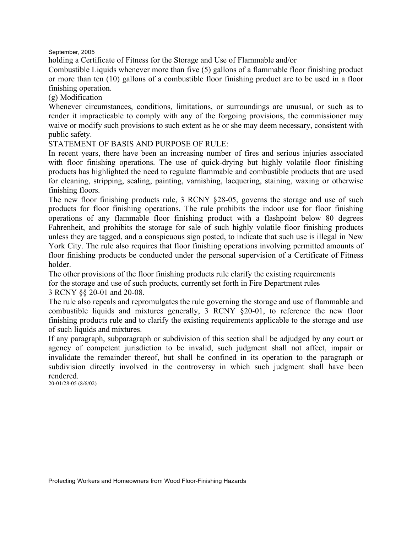holding a Certificate of Fitness for the Storage and Use of Flammable and/or

Combustible Liquids whenever more than five (5) gallons of a flammable floor finishing product or more than ten (10) gallons of a combustible floor finishing product are to be used in a floor finishing operation.

(g) Modification

Whenever circumstances, conditions, limitations, or surroundings are unusual, or such as to render it impracticable to comply with any of the forgoing provisions, the commissioner may waive or modify such provisions to such extent as he or she may deem necessary, consistent with public safety.

STATEMENT OF BASIS AND PURPOSE OF RULE:

In recent years, there have been an increasing number of fires and serious injuries associated with floor finishing operations. The use of quick-drying but highly volatile floor finishing products has highlighted the need to regulate flammable and combustible products that are used for cleaning, stripping, sealing, painting, varnishing, lacquering, staining, waxing or otherwise finishing floors.

The new floor finishing products rule, 3 RCNY §28-05, governs the storage and use of such products for floor finishing operations. The rule prohibits the indoor use for floor finishing operations of any flammable floor finishing product with a flashpoint below 80 degrees Fahrenheit, and prohibits the storage for sale of such highly volatile floor finishing products unless they are tagged, and a conspicuous sign posted, to indicate that such use is illegal in New York City. The rule also requires that floor finishing operations involving permitted amounts of floor finishing products be conducted under the personal supervision of a Certificate of Fitness holder.

The other provisions of the floor finishing products rule clarify the existing requirements

for the storage and use of such products, currently set forth in Fire Department rules

3 RCNY §§ 20-01 and 20-08.

The rule also repeals and repromulgates the rule governing the storage and use of flammable and combustible liquids and mixtures generally, 3 RCNY §20-01, to reference the new floor finishing products rule and to clarify the existing requirements applicable to the storage and use of such liquids and mixtures.

If any paragraph, subparagraph or subdivision of this section shall be adjudged by any court or agency of competent jurisdiction to be invalid, such judgment shall not affect, impair or invalidate the remainder thereof, but shall be confined in its operation to the paragraph or subdivision directly involved in the controversy in which such judgment shall have been rendered.

20-01/28-05 (8/6/02)